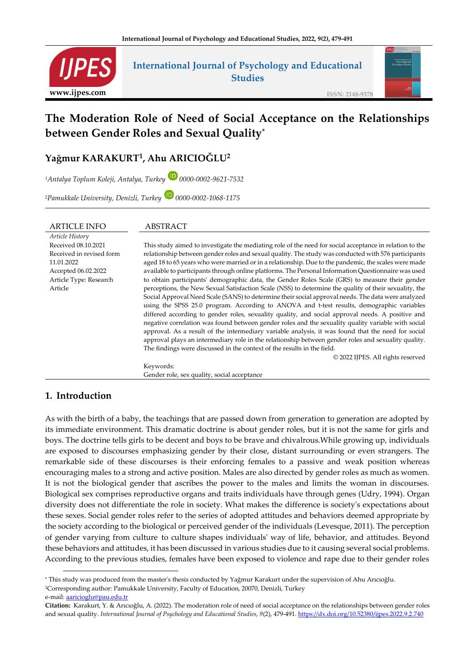

# **International Journal of Psychology and Educational Studies**

**ISSN: 2148-9378**

# **The Moderation Role of Need of Social Acceptance on the Relationships between Gender Roles and Sexual Quality\***

# **Yağmur KARAKURT<sup>1</sup> , Ahu ARICIOĞLU<sup>2</sup>**

*<sup>1</sup>Antalya Toplum Koleji, Antalya, Turkey 0000-0002-9621-7532*

<sup>2</sup>*Pamukkale University, Denizli, Turkey 0000-0002-1068-1175*

| <b>ARTICLE INFO</b>      | ABSTRACT                                                                                                |  |  |
|--------------------------|---------------------------------------------------------------------------------------------------------|--|--|
| Article History          |                                                                                                         |  |  |
| Received 08.10.2021      | This study aimed to investigate the mediating role of the need for social acceptance in relation to the |  |  |
| Received in revised form | relationship between gender roles and sexual quality. The study was conducted with 576 participants     |  |  |
| 11.01.2022               | aged 18 to 65 years who were married or in a relationship. Due to the pandemic, the scales were made    |  |  |
| Accepted 06.02.2022      | available to participants through online platforms. The Personal Information Questionnaire was used     |  |  |
| Article Type: Research   | to obtain participants' demographic data, the Gender Roles Scale (GRS) to measure their gender          |  |  |
| Article                  | perceptions, the New Sexual Satisfaction Scale (NSS) to determine the quality of their sexuality, the   |  |  |
|                          | Social Approval Need Scale (SANS) to determine their social approval needs. The data were analyzed      |  |  |
|                          | using the SPSS 25.0 program. According to ANOVA and t-test results, demographic variables               |  |  |
|                          | differed according to gender roles, sexuality quality, and social approval needs. A positive and        |  |  |
|                          | negative correlation was found between gender roles and the sexuality quality variable with social      |  |  |
|                          | approval. As a result of the intermediary variable analysis, it was found that the need for social      |  |  |
|                          | approval plays an intermediary role in the relationship between gender roles and sexuality quality.     |  |  |
|                          | The findings were discussed in the context of the results in the field.                                 |  |  |
|                          | © 2022 IJPES. All rights reserved                                                                       |  |  |
|                          | Keywords:                                                                                               |  |  |
|                          | Gender role, sex quality, social acceptance                                                             |  |  |

# **1. Introduction**

As with the birth of a baby, the teachings that are passed down from generation to generation are adopted by its immediate environment. This dramatic doctrine is about gender roles, but it is not the same for girls and boys. The doctrine tells girls to be decent and boys to be brave and chivalrous.While growing up, individuals are exposed to discourses emphasizing gender by their close, distant surrounding or even strangers. The remarkable side of these discourses is their enforcing females to a passive and weak position whereas encouraging males to a strong and active position. Males are also directed by gender roles as much as women. It is not the biological gender that ascribes the power to the males and limits the woman in discourses. Biological sex comprises reproductive organs and traits individuals have through genes (Udry, 1994). Organ diversity does not differentiate the role in society. What makes the difference is society's expectations about these sexes. Social gender roles refer to the series of adopted attitudes and behaviors deemed appropriate by the society according to the biological or perceived gender of the individuals (Levesque, 2011). The perception of gender varying from culture to culture shapes individuals' way of life, behavior, and attitudes. Beyond these behaviors and attitudes, it has been discussed in various studies due to it causing several social problems. According to the previous studies, females have been exposed to violence and rape due to their gender roles

**<sup>\*</sup>** This study was produced from the master's thesis conducted by Yağmur Karakurt under the supervision of Ahu Arıcıoğlu. <sup>2</sup>Corresponding author: Pamukkale University, Faculty of Education, 20070, Denizli, Turkey e-mail: aaricioglu@pau.edu.tr

**Citation:** Karakurt, Y. & Arıcıoğlu, A. (2022). The moderation role of need of social acceptance on the relationships between gender roles and sexual quality. *International Journal of Psychology and Educational Studies, 9(2), 479-491*[. https://dx.doi.org/10.52380/ijpes.2022.9.2.7](https://dx.doi.org/10.52380/ijpes.2022.9.2.)40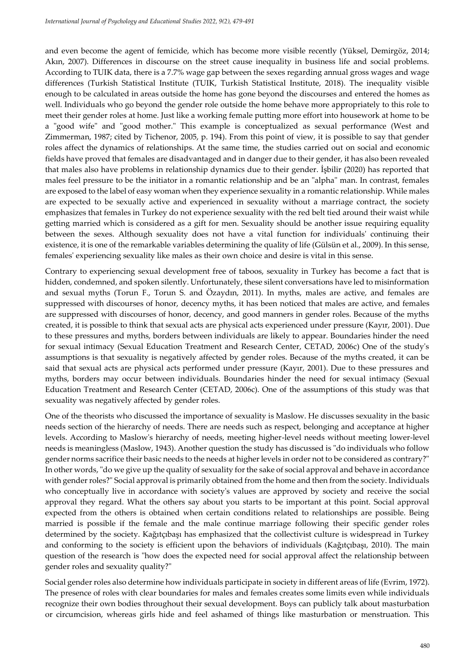and even become the agent of femicide, which has become more visible recently (Yüksel, Demirgöz, 2014; Akın, 2007). Differences in discourse on the street cause inequality in business life and social problems. According to TUIK data, there is a 7.7% wage gap between the sexes regarding annual gross wages and wage differences (Turkish Statistical Institute (TUIK, Turkish Statistical Institute, 2018). The inequality visible enough to be calculated in areas outside the home has gone beyond the discourses and entered the homes as well. Individuals who go beyond the gender role outside the home behave more appropriately to this role to meet their gender roles at home. Just like a working female putting more effort into housework at home to be a "good wife" and "good mother." This example is conceptualized as sexual performance (West and Zimmerman, 1987; cited by Tichenor, 2005, p. 194). From this point of view, it is possible to say that gender roles affect the dynamics of relationships. At the same time, the studies carried out on social and economic fields have proved that females are disadvantaged and in danger due to their gender, it has also been revealed that males also have problems in relationship dynamics due to their gender. İşbilir (2020) has reported that males feel pressure to be the initiator in a romantic relationship and be an "alpha" man. In contrast, females are exposed to the label of easy woman when they experience sexuality in a romantic relationship. While males are expected to be sexually active and experienced in sexuality without a marriage contract, the society emphasizes that females in Turkey do not experience sexuality with the red belt tied around their waist while getting married which is considered as a gift for men. Sexuality should be another issue requiring equality between the sexes. Although sexuality does not have a vital function for individuals' continuing their existence, it is one of the remarkable variables determining the quality of life (Gülsün et al., 2009). In this sense, females' experiencing sexuality like males as their own choice and desire is vital in this sense.

Contrary to experiencing sexual development free of taboos, sexuality in Turkey has become a fact that is hidden, condemned, and spoken silently. Unfortunately, these silent conversations have led to misinformation and sexual myths (Torun F., Torun S. and Özaydın, 2011). In myths, males are active, and females are suppressed with discourses of honor, decency myths, it has been noticed that males are active, and females are suppressed with discourses of honor, decency, and good manners in gender roles. Because of the myths created, it is possible to think that sexual acts are physical acts experienced under pressure (Kayır, 2001). Due to these pressures and myths, borders between individuals are likely to appear. Boundaries hinder the need for sexual intimacy (Sexual Education Treatment and Research Center, CETAD, 2006c) One of the study's assumptions is that sexuality is negatively affected by gender roles. Because of the myths created, it can be said that sexual acts are physical acts performed under pressure (Kayır, 2001). Due to these pressures and myths, borders may occur between individuals. Boundaries hinder the need for sexual intimacy (Sexual Education Treatment and Research Center (CETAD, 2006c). One of the assumptions of this study was that sexuality was negatively affected by gender roles.

One of the theorists who discussed the importance of sexuality is Maslow. He discusses sexuality in the basic needs section of the hierarchy of needs. There are needs such as respect, belonging and acceptance at higher levels. According to Maslow's hierarchy of needs, meeting higher-level needs without meeting lower-level needs is meaningless (Maslow, 1943). Another question the study has discussed is "do individuals who follow gender norms sacrifice their basic needs to the needs at higher levels in order not to be considered as contrary?" In other words, "do we give up the quality of sexuality for the sake of social approval and behave in accordance with gender roles?" Social approval is primarily obtained from the home and then from the society. Individuals who conceptually live in accordance with society's values are approved by society and receive the social approval they regard. What the others say about you starts to be important at this point. Social approval expected from the others is obtained when certain conditions related to relationships are possible. Being married is possible if the female and the male continue marriage following their specific gender roles determined by the society. Kağıtçıbaşı has emphasized that the collectivist culture is widespread in Turkey and conforming to the society is efficient upon the behaviors of individuals (Kağıtçıbaşı, 2010). The main question of the research is "how does the expected need for social approval affect the relationship between gender roles and sexuality quality?"

Social gender roles also determine how individuals participate in society in different areas of life (Evrim, 1972). The presence of roles with clear boundaries for males and females creates some limits even while individuals recognize their own bodies throughout their sexual development. Boys can publicly talk about masturbation or circumcision, whereas girls hide and feel ashamed of things like masturbation or menstruation. This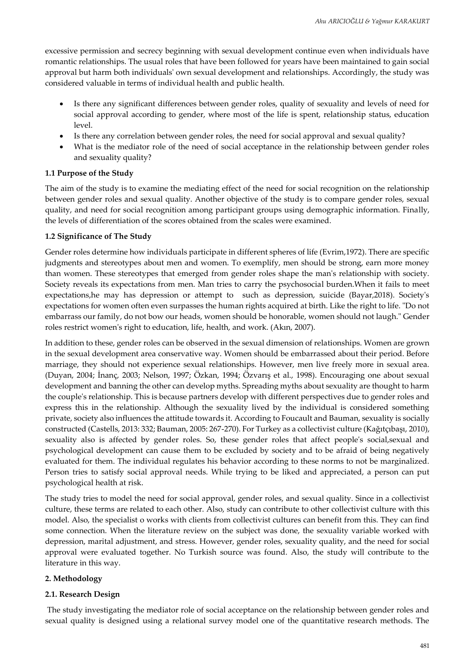excessive permission and secrecy beginning with sexual development continue even when individuals have romantic relationships. The usual roles that have been followed for years have been maintained to gain social approval but harm both individuals' own sexual development and relationships. Accordingly, the study was considered valuable in terms of individual health and public health.

- Is there any significant differences between gender roles, quality of sexuality and levels of need for social approval according to gender, where most of the life is spent, relationship status, education level.
- Is there any correlation between gender roles, the need for social approval and sexual quality?
- What is the mediator role of the need of social acceptance in the relationship between gender roles and sexuality quality?

#### **1.1 Purpose of the Study**

The aim of the study is to examine the mediating effect of the need for social recognition on the relationship between gender roles and sexual quality. Another objective of the study is to compare gender roles, sexual quality, and need for social recognition among participant groups using demographic information. Finally, the levels of differentiation of the scores obtained from the scales were examined.

#### **1.2 Significance of The Study**

Gender roles determine how individuals participate in different spheres of life (Evrim,1972). There are specific judgments and stereotypes about men and women. To exemplify, men should be strong, earn more money than women. These stereotypes that emerged from gender roles shape the man's relationship with society. Society reveals its expectations from men. Man tries to carry the psychosocial burden.When it fails to meet expectations,he may has depression or attempt to such as depression, suicide (Bayar,2018). Society's expectations for women often even surpasses the human rights acquired at birth. Like the right to life. "Do not embarrass our family, do not bow our heads, women should be honorable, women should not laugh." Gender roles restrict women's right to education, life, health, and work. (Akın, 2007).

In addition to these, gender roles can be observed in the sexual dimension of relationships. Women are grown in the sexual development area conservative way. Women should be embarrassed about their period. Before marriage, they should not experience sexual relationships. However, men live freely more in sexual area. (Duyan, 2004; İnanç, 2003; Nelson, 1997; Özkan, 1994; Özvarış et al., 1998). Encouraging one about sexual development and banning the other can develop myths. Spreading myths about sexuality are thought to harm the couple's relationship. This is because partners develop with different perspectives due to gender roles and express this in the relationship. Although the sexuality lived by the individual is considered something private, society also influences the attitude towards it. According to Foucault and Bauman, sexuality is socially constructed (Castells, 2013: 332; Bauman, 2005: 267-270). For Turkey as a collectivist culture (Kağıtçıbaşı, 2010), sexuality also is affected by gender roles. So, these gender roles that affect people's social,sexual and psychological development can cause them to be excluded by society and to be afraid of being negatively evaluated for them. The individual regulates his behavior according to these norms to not be marginalized. Person tries to satisfy social approval needs. While trying to be liked and appreciated, a person can put psychological health at risk.

The study tries to model the need for social approval, gender roles, and sexual quality. Since in a collectivist culture, these terms are related to each other. Also, study can contribute to other collectivist culture with this model. Also, the specialist o works with clients from collectivist cultures can benefit from this. They can find some connection. When the literature review on the subject was done, the sexuality variable worked with depression, marital adjustment, and stress. However, gender roles, sexuality quality, and the need for social approval were evaluated together. No Turkish source was found. Also, the study will contribute to the literature in this way.

#### **2. Methodology**

#### **2.1. Research Design**

The study investigating the mediator role of social acceptance on the relationship between gender roles and sexual quality is designed using a relational survey model one of the quantitative research methods. The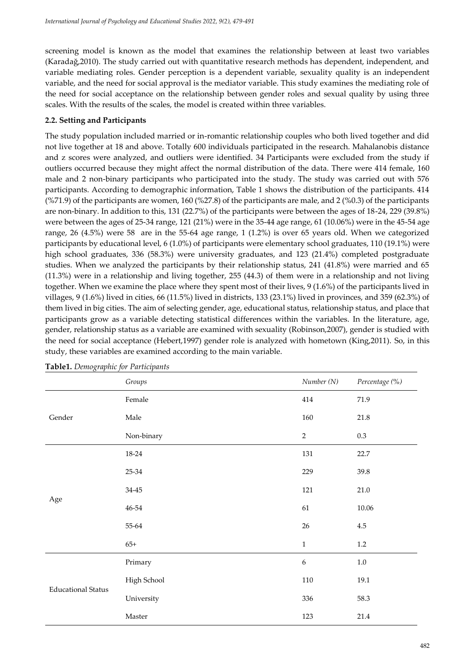screening model is known as the model that examines the relationship between at least two variables (Karadağ,2010). The study carried out with quantitative research methods has dependent, independent, and variable mediating roles. Gender perception is a dependent variable, sexuality quality is an independent variable, and the need for social approval is the mediator variable. This study examines the mediating role of the need for social acceptance on the relationship between gender roles and sexual quality by using three scales. With the results of the scales, the model is created within three variables.

#### **2.2. Setting and Participants**

The study population included married or in-romantic relationship couples who both lived together and did not live together at 18 and above. Totally 600 individuals participated in the research. Mahalanobis distance and z scores were analyzed, and outliers were identified. 34 Participants were excluded from the study if outliers occurred because they might affect the normal distribution of the data. There were 414 female, 160 male and 2 non-binary participants who participated into the study. The study was carried out with 576 participants. According to demographic information, Table 1 shows the distribution of the participants. 414 (%71.9) of the participants are women, 160 (%27.8) of the participants are male, and 2 (%0.3) of the participants are non-binary. In addition to this, 131 (22.7%) of the participants were between the ages of 18-24, 229 (39.8%) were between the ages of 25-34 range, 121 (21%) were in the 35-44 age range, 61 (10.06%) were in the 45-54 age range, 26 (4.5%) were 58 are in the 55-64 age range, 1 (1.2%) is over 65 years old. When we categorized participants by educational level, 6 (1.0%) of participants were elementary school graduates, 110 (19.1%) were high school graduates, 336 (58.3%) were university graduates, and 123 (21.4%) completed postgraduate studies. When we analyzed the participants by their relationship status, 241 (41.8%) were married and 65 (11.3%) were in a relationship and living together, 255 (44.3) of them were in a relationship and not living together. When we examine the place where they spent most of their lives, 9 (1.6%) of the participants lived in villages, 9 (1.6%) lived in cities, 66 (11.5%) lived in districts, 133 (23.1%) lived in provinces, and 359 (62.3%) of them lived in big cities. The aim of selecting gender, age, educational status, relationship status, and place that participants grow as a variable detecting statistical differences within the variables. In the literature, age, gender, relationship status as a variable are examined with sexuality (Robinson,2007), gender is studied with the need for social acceptance (Hebert,1997) gender role is analyzed with hometown (King,2011). So, in this study, these variables are examined according to the main variable.

|                           | Groups      | Number (N)       | Percentage (%) |
|---------------------------|-------------|------------------|----------------|
| Gender                    | Female      | 414              | $71.9\,$       |
|                           | Male        | 160              | 21.8           |
|                           | Non-binary  | $\overline{2}$   | 0.3            |
| Age                       | 18-24       | 131              | 22.7           |
|                           | 25-34       | 229              | 39.8           |
|                           | $34 - 45$   | 121              | 21.0           |
|                           | $46 - 54$   | 61               | 10.06          |
|                           | $55 - 64$   | $26\,$           | 4.5            |
|                           | $65+$       | $\mathbf{1}$     | $1.2\,$        |
| <b>Educational Status</b> | Primary     | $\boldsymbol{6}$ | $1.0\,$        |
|                           | High School | $110\,$          | 19.1           |
|                           | University  | 336              | 58.3           |
|                           | Master      | 123              | 21.4           |

**Table1.** *Demographic for Participants*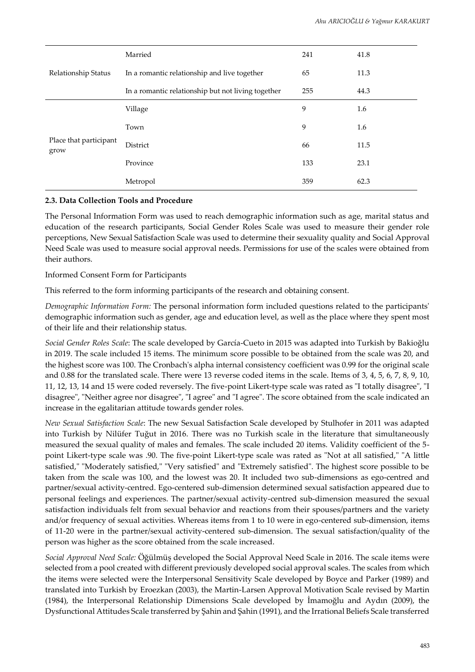| Relationship Status            | Married                                            | 241 | 41.8 |
|--------------------------------|----------------------------------------------------|-----|------|
|                                | In a romantic relationship and live together       | 65  | 11.3 |
|                                | In a romantic relationship but not living together | 255 | 44.3 |
| Place that participant<br>grow | Village                                            | 9   | 1.6  |
|                                | Town                                               | 9   | 1.6  |
|                                | District                                           | 66  | 11.5 |
|                                | Province                                           | 133 | 23.1 |
|                                | Metropol                                           | 359 | 62.3 |

#### **2.3. Data Collection Tools and Procedure**

The Personal Information Form was used to reach demographic information such as age, marital status and education of the research participants, Social Gender Roles Scale was used to measure their gender role perceptions, New Sexual Satisfaction Scale was used to determine their sexuality quality and Social Approval Need Scale was used to measure social approval needs. Permissions for use of the scales were obtained from their authors.

Informed Consent Form for Participants

This referred to the form informing participants of the research and obtaining consent.

*Demographic Information Form:* The personal information form included questions related to the participants' demographic information such as gender, age and education level, as well as the place where they spent most of their life and their relationship status.

*Social Gender Roles Scale*: The scale developed by García-Cueto in 2015 was adapted into Turkish by Bakioğlu in 2019. The scale included 15 items. The minimum score possible to be obtained from the scale was 20, and the highest score was 100. The Cronbach's alpha internal consistency coefficient was 0.99 for the original scale and 0.88 for the translated scale. There were 13 reverse coded items in the scale. Items of 3, 4, 5, 6, 7, 8, 9, 10, 11, 12, 13, 14 and 15 were coded reversely. The five-point Likert-type scale was rated as "I totally disagree", "I disagree", "Neither agree nor disagree", "I agree" and "I agree". The score obtained from the scale indicated an increase in the egalitarian attitude towards gender roles.

*New Sexual Satisfaction Scale*: The new Sexual Satisfaction Scale developed by Stulhofer in 2011 was adapted into Turkish by Nilüfer Tuğut in 2016. There was no Turkish scale in the literature that simultaneously measured the sexual quality of males and females. The scale included 20 items. Validity coefficient of the 5 point Likert-type scale was .90. The five-point Likert-type scale was rated as "Not at all satisfied," "A little satisfied," "Moderately satisfied," "Very satisfied" and "Extremely satisfied". The highest score possible to be taken from the scale was 100, and the lowest was 20. It included two sub-dimensions as ego-centred and partner/sexual activity-centred. Ego-centered sub-dimension determined sexual satisfaction appeared due to personal feelings and experiences. The partner/sexual activity-centred sub-dimension measured the sexual satisfaction individuals felt from sexual behavior and reactions from their spouses/partners and the variety and/or frequency of sexual activities. Whereas items from 1 to 10 were in ego-centered sub-dimension, items of 11-20 were in the partner/sexual activity-centered sub-dimension. The sexual satisfaction/quality of the person was higher as the score obtained from the scale increased.

*Social Approval Need Scale:* Öğülmüş developed the Social Approval Need Scale in 2016. The scale items were selected from a pool created with different previously developed social approval scales. The scales from which the items were selected were the Interpersonal Sensitivity Scale developed by Boyce and Parker (1989) and translated into Turkish by Eroezkan (2003), the Martin-Larsen Approval Motivation Scale revised by Martin (1984), the Interpersonal Relationship Dimensions Scale developed by İmamoğlu and Aydın (2009), the Dysfunctional Attitudes Scale transferred by Şahin and Şahin (1991), and the Irrational Beliefs Scale transferred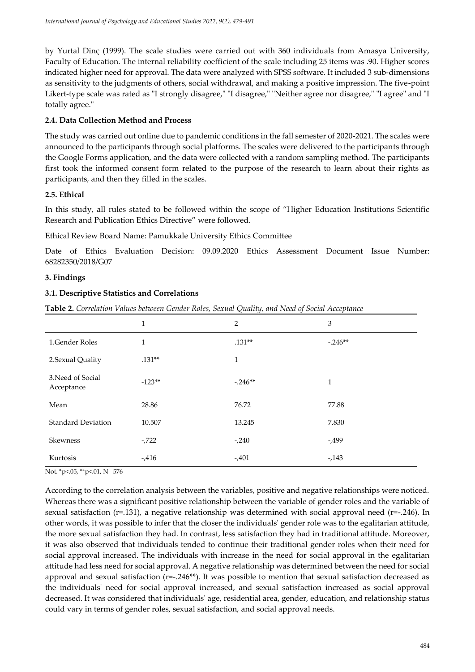by Yurtal Dinç (1999). The scale studies were carried out with 360 individuals from Amasya University, Faculty of Education. The internal reliability coefficient of the scale including 25 items was .90. Higher scores indicated higher need for approval. The data were analyzed with SPSS software. It included 3 sub-dimensions as sensitivity to the judgments of others, social withdrawal, and making a positive impression. The five-point Likert-type scale was rated as "I strongly disagree," "I disagree," "Neither agree nor disagree," "I agree" and "I totally agree."

# **2.4. Data Collection Method and Process**

The study was carried out online due to pandemic conditions in the fall semester of 2020-2021. The scales were announced to the participants through social platforms. The scales were delivered to the participants through the Google Forms application, and the data were collected with a random sampling method. The participants first took the informed consent form related to the purpose of the research to learn about their rights as participants, and then they filled in the scales.

# **2.5. Ethical**

In this study, all rules stated to be followed within the scope of "Higher Education Institutions Scientific Research and Publication Ethics Directive" were followed.

Ethical Review Board Name: Pamukkale University Ethics Committee

Date of Ethics Evaluation Decision: 09.09.2020 Ethics Assessment Document Issue Number: 68282350/2018/G07

# **3. Findings**

# **3.1. Descriptive Statistics and Correlations**

**Table 2.** *Correlation Values between Gender Roles, Sexual Quality, and Need of Social Acceptance*

|                                 | $\mathbf{1}$ | 2            | 3        |
|---------------------------------|--------------|--------------|----------|
| 1.Gender Roles                  | 1            | $.131**$     | $-246**$ |
| 2.Sexual Quality                | $.131**$     | $\mathbf{1}$ |          |
| 3. Need of Social<br>Acceptance | $-123**$     | $-.246**$    | 1        |
| Mean                            | 28.86        | 76.72        | 77.88    |
| <b>Standard Deviation</b>       | 10.507       | 13.245       | 7.830    |
| <b>Skewness</b>                 | $-722$       | $-240$       | -,499    |
| Kurtosis                        | $-0.416$     | $-0.401$     | $-143$   |

Not. \*p<.05, \*\*p<.01, N= 576

According to the correlation analysis between the variables, positive and negative relationships were noticed. Whereas there was a significant positive relationship between the variable of gender roles and the variable of sexual satisfaction ( $r=131$ ), a negative relationship was determined with social approval need ( $r=-246$ ). In other words, it was possible to infer that the closer the individuals' gender role was to the egalitarian attitude, the more sexual satisfaction they had. In contrast, less satisfaction they had in traditional attitude. Moreover, it was also observed that individuals tended to continue their traditional gender roles when their need for social approval increased. The individuals with increase in the need for social approval in the egalitarian attitude had less need for social approval. A negative relationship was determined between the need for social approval and sexual satisfaction (r=-.246\*\*). It was possible to mention that sexual satisfaction decreased as the individuals' need for social approval increased, and sexual satisfaction increased as social approval decreased. It was considered that individuals' age, residential area, gender, education, and relationship status could vary in terms of gender roles, sexual satisfaction, and social approval needs.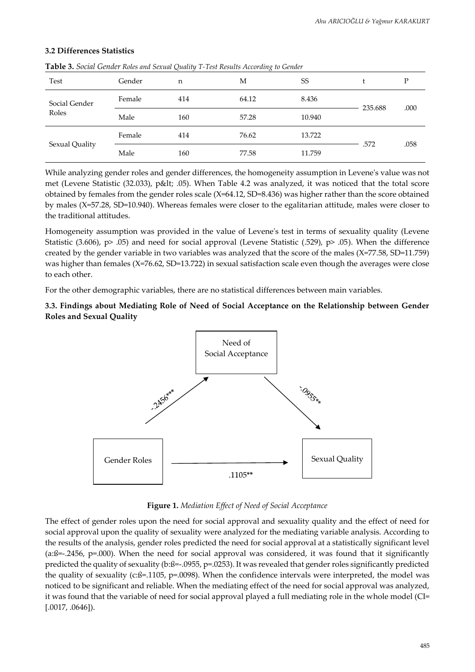#### **3.2 Differences Statistics**

|                        | $\cdots$ |     |       |        |         |      |
|------------------------|----------|-----|-------|--------|---------|------|
| Test                   | Gender   | n   | М     | SS     |         | D    |
| Social Gender<br>Roles | Female   | 414 | 64.12 | 8.436  |         |      |
|                        | Male     | 160 | 57.28 | 10.940 | 235.688 | .000 |
| Sexual Quality         | Female   | 414 | 76.62 | 13.722 |         |      |
|                        | Male     | 160 | 77.58 | 11.759 | .572    | .058 |

**Table 3.** *Social Gender Roles and Sexual Quality T-Test Results According to Gender*

While analyzing gender roles and gender differences, the homogeneity assumption in Levene's value was not met (Levene Statistic (32.033), p< .05). When Table 4.2 was analyzed, it was noticed that the total score obtained by females from the gender roles scale (X=64.12, SD=8.436) was higher rather than the score obtained by males (X=57.28, SD=10.940). Whereas females were closer to the egalitarian attitude, males were closer to the traditional attitudes.

Homogeneity assumption was provided in the value of Levene's test in terms of sexuality quality (Levene Statistic (3.606), p> .05) and need for social approval (Levene Statistic (.529), p> .05). When the difference created by the gender variable in two variables was analyzed that the score of the males (X=77.58, SD=11.759) was higher than females (X=76.62, SD=13.722) in sexual satisfaction scale even though the averages were close to each other.

For the other demographic variables, there are no statistical differences between main variables.

# **3.3. Findings about Mediating Role of Need of Social Acceptance on the Relationship between Gender Roles and Sexual Quality**



**Figure 1.** *Mediation Effect of Need of Social Acceptance*

The effect of gender roles upon the need for social approval and sexuality quality and the effect of need for social approval upon the quality of sexuality were analyzed for the mediating variable analysis. According to the results of the analysis, gender roles predicted the need for social approval at a statistically significant level (a:ß=-.2456, p=.000). When the need for social approval was considered, it was found that it significantly predicted the quality of sexuality (b:ß=-.0955, p=.0253). It was revealed that gender roles significantly predicted the quality of sexuality (c: $\beta$ =.1105, p=.0098). When the confidence intervals were interpreted, the model was noticed to be significant and reliable. When the mediating effect of the need for social approval was analyzed, it was found that the variable of need for social approval played a full mediating role in the whole model (CI= [.0017, .0646]).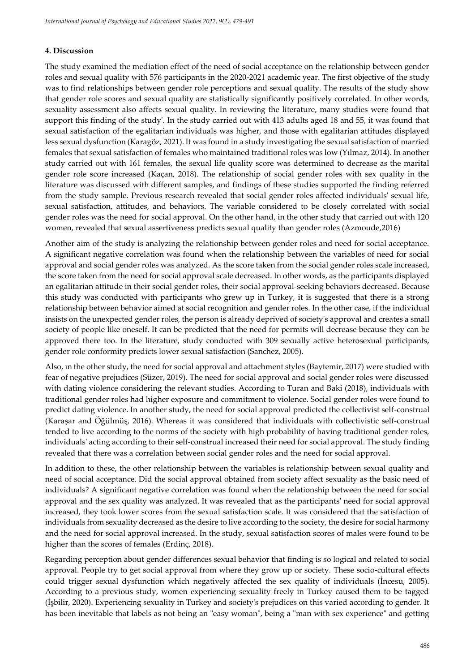# **4. Discussion**

The study examined the mediation effect of the need of social acceptance on the relationship between gender roles and sexual quality with 576 participants in the 2020-2021 academic year. The first objective of the study was to find relationships between gender role perceptions and sexual quality. The results of the study show that gender role scores and sexual quality are statistically significantly positively correlated. In other words, sexuality assessment also affects sexual quality. In reviewing the literature, many studies were found that support this finding of the study'. In the study carried out with 413 adults aged 18 and 55, it was found that sexual satisfaction of the egalitarian individuals was higher, and those with egalitarian attitudes displayed less sexual dysfunction (Karagöz, 2021). It was found in a study investigating the sexual satisfaction of married females that sexual satisfaction of females who maintained traditional roles was low (Yılmaz, 2014). In another study carried out with 161 females, the sexual life quality score was determined to decrease as the marital gender role score increased (Kaçan, 2018). The relationship of social gender roles with sex quality in the literature was discussed with different samples, and findings of these studies supported the finding referred from the study sample. Previous research revealed that social gender roles affected individuals' sexual life, sexual satisfaction, attitudes, and behaviors. The variable considered to be closely correlated with social gender roles was the need for social approval. On the other hand, in the other study that carried out with 120 women, revealed that sexual assertiveness predicts sexual quality than gender roles (Azmoude,2016)

Another aim of the study is analyzing the relationship between gender roles and need for social acceptance. A significant negative correlation was found when the relationship between the variables of need for social approval and social gender roles was analyzed. As the score taken from the social gender roles scale increased, the score taken from the need for social approval scale decreased. In other words, as the participants displayed an egalitarian attitude in their social gender roles, their social approval-seeking behaviors decreased. Because this study was conducted with participants who grew up in Turkey, it is suggested that there is a strong relationship between behavior aimed at social recognition and gender roles. In the other case, if the individual insists on the unexpected gender roles, the person is already deprived of society's approval and creates a small society of people like oneself. It can be predicted that the need for permits will decrease because they can be approved there too. In the literature, study conducted with 309 sexually active heterosexual participants, gender role conformity predicts lower sexual satisfaction (Sanchez, 2005).

Also, ın the other study, the need for social approval and attachment styles (Baytemir, 2017) were studied with fear of negative prejudices (Süzer, 2019). The need for social approval and social gender roles were discussed with dating violence considering the relevant studies. According to Turan and Baki (2018), individuals with traditional gender roles had higher exposure and commitment to violence. Social gender roles were found to predict dating violence. In another study, the need for social approval predicted the collectivist self-construal (Karaşar and Öğülmüş, 2016). Whereas it was considered that individuals with collectivistic self-construal tended to live according to the norms of the society with high probability of having traditional gender roles, individuals' acting according to their self-construal increased their need for social approval. The study finding revealed that there was a correlation between social gender roles and the need for social approval.

In addition to these, the other relationship between the variables is relationship between sexual quality and need of social acceptance. Did the social approval obtained from society affect sexuality as the basic need of individuals? A significant negative correlation was found when the relationship between the need for social approval and the sex quality was analyzed. It was revealed that as the participants' need for social approval increased, they took lower scores from the sexual satisfaction scale. It was considered that the satisfaction of individuals from sexuality decreased as the desire to live according to the society, the desire for social harmony and the need for social approval increased. In the study, sexual satisfaction scores of males were found to be higher than the scores of females (Erdinç, 2018).

Regarding perception about gender differences sexual behavior that finding is so logical and related to social approval. People try to get social approval from where they grow up or society. These socio-cultural effects could trigger sexual dysfunction which negatively affected the sex quality of individuals (İncesu, 2005). According to a previous study, women experiencing sexuality freely in Turkey caused them to be tagged (İşbilir, 2020). Experiencing sexuality in Turkey and society's prejudices on this varied according to gender. It has been inevitable that labels as not being an "easy woman", being a "man with sex experience" and getting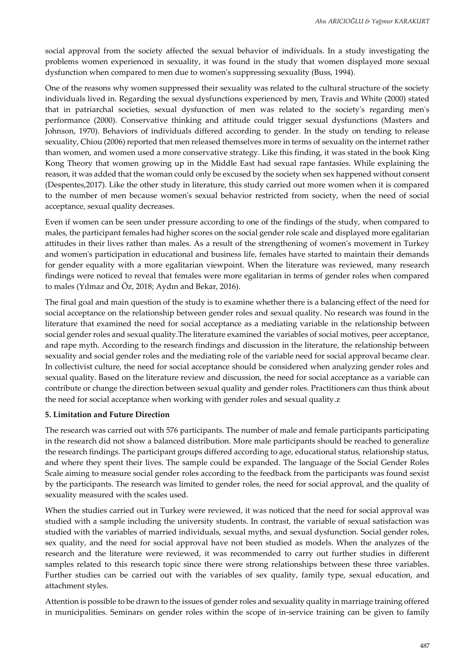social approval from the society affected the sexual behavior of individuals. In a study investigating the problems women experienced in sexuality, it was found in the study that women displayed more sexual dysfunction when compared to men due to women's suppressing sexuality (Buss, 1994).

One of the reasons why women suppressed their sexuality was related to the cultural structure of the society individuals lived in. Regarding the sexual dysfunctions experienced by men, Travis and White (2000) stated that in patriarchal societies, sexual dysfunction of men was related to the society's regarding men's performance (2000). Conservative thinking and attitude could trigger sexual dysfunctions (Masters and Johnson, 1970). Behaviors of individuals differed according to gender. In the study on tending to release sexuality, Chiou (2006) reported that men released themselves more in terms of sexuality on the internet rather than women, and women used a more conservative strategy. Like this finding, it was stated in the book King Kong Theory that women growing up in the Middle East had sexual rape fantasies. While explaining the reason, it was added that the woman could only be excused by the society when sex happened without consent (Despentes,2017). Like the other study in literature, this study carried out more women when it is compared to the number of men because women's sexual behavior restricted from society, when the need of social acceptance, sexual quality decreases.

Even if women can be seen under pressure according to one of the findings of the study, when compared to males, the participant females had higher scores on the social gender role scale and displayed more egalitarian attitudes in their lives rather than males. As a result of the strengthening of women's movement in Turkey and women's participation in educational and business life, females have started to maintain their demands for gender equality with a more egalitarian viewpoint. When the literature was reviewed, many research findings were noticed to reveal that females were more egalitarian in terms of gender roles when compared to males (Yılmaz and Öz, 2018; Aydın and Bekar, 2016).

The final goal and main question of the study is to examine whether there is a balancing effect of the need for social acceptance on the relationship between gender roles and sexual quality. No research was found in the literature that examined the need for social acceptance as a mediating variable in the relationship between social gender roles and sexual quality.The literature examined the variables of social motives, peer acceptance, and rape myth. According to the research findings and discussion in the literature, the relationship between sexuality and social gender roles and the mediating role of the variable need for social approval became clear. In collectivist culture, the need for social acceptance should be considered when analyzing gender roles and sexual quality. Based on the literature review and discussion, the need for social acceptance as a variable can contribute or change the direction between sexual quality and gender roles. Practitioners can thus think about the need for social acceptance when working with gender roles and sexual quality.z

#### **5. Limitation and Future Direction**

The research was carried out with 576 participants. The number of male and female participants participating in the research did not show a balanced distribution. More male participants should be reached to generalize the research findings. The participant groups differed according to age, educational status, relationship status, and where they spent their lives. The sample could be expanded. The language of the Social Gender Roles Scale aiming to measure social gender roles according to the feedback from the participants was found sexist by the participants. The research was limited to gender roles, the need for social approval, and the quality of sexuality measured with the scales used.

When the studies carried out in Turkey were reviewed, it was noticed that the need for social approval was studied with a sample including the university students. In contrast, the variable of sexual satisfaction was studied with the variables of married individuals, sexual myths, and sexual dysfunction. Social gender roles, sex quality, and the need for social approval have not been studied as models. When the analyzes of the research and the literature were reviewed, it was recommended to carry out further studies in different samples related to this research topic since there were strong relationships between these three variables. Further studies can be carried out with the variables of sex quality, family type, sexual education, and attachment styles.

Attention is possible to be drawn to the issues of gender roles and sexuality quality in marriage training offered in municipalities. Seminars on gender roles within the scope of in-service training can be given to family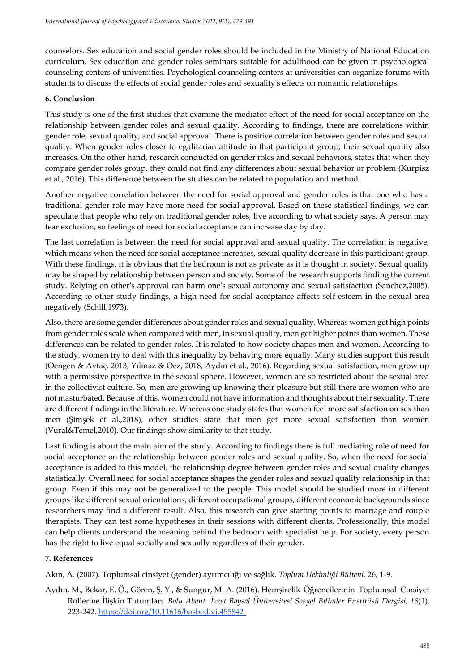counselors. Sex education and social gender roles should be included in the Ministry of National Education curriculum. Sex education and gender roles seminars suitable for adulthood can be given in psychological counseling centers of universities. Psychological counseling centers at universities can organize forums with students to discuss the effects of social gender roles and sexuality's effects on romantic relationships.

#### **6. Conclusion**

This study is one of the first studies that examine the mediator effect of the need for social acceptance on the relationship between gender roles and sexual quality. According to findings, there are correlations within gender role, sexual quality, and social approval. There is positive correlation between gender roles and sexual quality. When gender roles closer to egalitarian attitude in that participant group, their sexual quality also increases. On the other hand, research conducted on gender roles and sexual behaviors, states that when they compare gender roles group, they could not find any differences about sexual behavior or problem (Kurpisz et al., 2016). This difference between the studies can be related to population and method.

Another negative correlation between the need for social approval and gender roles is that one who has a traditional gender role may have more need for social approval. Based on these statistical findings, we can speculate that people who rely on traditional gender roles, live according to what society says. A person may fear exclusion, so feelings of need for social acceptance can increase day by day.

The last correlation is between the need for social approval and sexual quality. The correlation is negative, which means when the need for social acceptance increases, sexual quality decrease in this participant group. With these findings, ıt is obvious that the bedroom is not as private as it is thought in society. Sexual quality may be shaped by relationship between person and society. Some of the research supports finding the current study. Relying on other's approval can harm one's sexual autonomy and sexual satisfaction (Sanchez,2005). According to other study findings, a high need for social acceptance affects self-esteem in the sexual area negatively (Schill,1973).

Also, there are some gender differences about gender roles and sexual quality. Whereas women get high points from gender roles scale when compared with men, in sexual quality, men get higher points than women. These differences can be related to gender roles. It is related to how society shapes men and women. According to the study, women try to deal with this inequality by behaving more equally. Many studies support this result (Oengen & Aytaç, 2013; Yılmaz & Oez, 2018, Aydın et al., 2016). Regarding sexual satisfaction, men grow up with a permissive perspective in the sexual sphere. However, women are so restricted about the sexual area in the collectivist culture. So, men are growing up knowing their pleasure but still there are women who are not masturbated. Because of this, women could not have information and thoughts about their sexuality. There are different findings in the literature. Whereas one study states that women feel more satisfaction on sex than men (Şimşek et al.,2018), other studies state that men get more sexual satisfaction than women (Vural&Temel,2010). Our findings show similarity to that study.

Last finding is about the main aim of the study. According to findings there is full mediating role of need for social acceptance on the relationship between gender roles and sexual quality. So, when the need for social acceptance is added to this model, the relationship degree between gender roles and sexual quality changes statistically. Overall need for social acceptance shapes the gender roles and sexual quality relationship in that group. Even if this may not be generalized to the people. This model should be studied more in different groups like different sexual orientations, different occupational groups, different economic backgrounds since researchers may find a different result. Also, this research can give starting points to marriage and couple therapists. They can test some hypotheses in their sessions with different clients. Professionally, this model can help clients understand the meaning behind the bedroom with specialist help. For society, every person has the right to live equal socially and sexually regardless of their gender.

# **7. References**

Akın, A. (2007). Toplumsal cinsiyet (gender) ayrımcılığı ve sağlık. *Toplum Hekimliği Bülteni,* 26, 1-9.

Aydın, M., Bekar, E. Ö., Gören, Ş. Y., & Sungur, M. A. (2016). Hemşirelik Öğrencilerinin Toplumsal Cinsiyet Rollerine İlişkin Tutumları. *Bolu Abant İzzet Baysal Üniversitesi Sosyal Bilimler Enstitüsü Dergisi, 16*(1), 223-242. https://doi.org/10.11616/basbed.vi.455842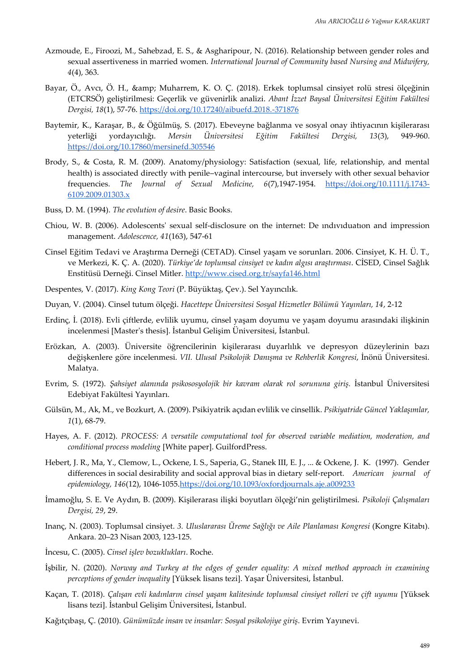- Azmoude, E., Firoozi, M., Sahebzad, E. S., & Asgharipour, N. (2016). Relationship between gender roles and sexual assertiveness in married women. *International Journal of Community based Nursing and Midwifery, 4*(4), 363.
- Bayar, Ö., Avcı, Ö. H., & amp; Muharrem, K. O. Ç. (2018). Erkek toplumsal cinsiyet rolü stresi ölçeğinin (ETCRSÖ) geliştirilmesi: Geçerlik ve güvenirlik analizi. *Abant İzzet Baysal Üniversitesi Eğitim Fakültesi Dergisi, 18*(1), 57-76. https://doi.org/10.17240/aibuefd.2018.-371876
- Baytemir, K., Karaşar, B., & Öğülmüş, S. (2017). Ebeveyne bağlanma ve sosyal onay ihtiyacının kişilerarası yeterliği yordayıcılığı. *Mersin Üniversitesi Eğitim Fakültesi Dergisi, 13*(3), 949-960. https://doi.org/10.17860/mersinefd.305546
- Brody, S., & Costa, R. M. (2009). Anatomy/physiology: Satisfaction (sexual, life, relationship, and mental health) is associated directly with penile–vaginal intercourse, but inversely with other sexual behavior frequencies. *The Journal of Sexual Medicine*, 6(7),1947-1954. [https://doi.org/10.1111/j.1743-](https://doi.org/10.1111/j.1743-6109.2009.01303.x) [6109.2009.01303.x](https://doi.org/10.1111/j.1743-6109.2009.01303.x)
- Buss, D. M. (1994). *The evolution of desire*. Basic Books.
- Chiou, W. B. (2006). Adolescents' sexual self-disclosure on the internet: De ındıvıduatıon and impression management. *Adolescence, 41*(163), 547-61
- Cinsel Eğitim Tedavi ve Araştırma Derneği (CETAD). Cinsel yaşam ve sorunları. 2006. Cinsiyet, K. H. Ü. T., ve Merkezi, K. Ç. A. (2020). *Türkiye'de toplumsal cinsiyet ve kadın algısı araştırması*. CİSED, Cinsel Sağlık Enstitüsü Derneği. Cinsel Mitler. http://www.cised.org.tr/sayfa146.html
- Despentes, V. (2017). *King Kong Teori* (P. Büyüktaş, Çev.). Sel Yayıncılık.
- Duyan, V. (2004). Cinsel tutum ölçeği. *Hacettepe Üniversitesi Sosyal Hizmetler Bölümü Yayınları, 14*, 2-12
- Erdinç, İ. (2018). Evli çiftlerde, evlilik uyumu, cinsel yaşam doyumu ve yaşam doyumu arasındaki ilişkinin incelenmesi [Master's thesis]. İstanbul Gelişim Üniversitesi, İstanbul.
- Erözkan, A. (2003). Üniversite öğrencilerinin kişilerarası duyarlılık ve depresyon düzeylerinin bazı değişkenlere göre incelenmesi. *VII. Ulusal Psikolojik Danışma ve Rehberlik Kongresi*, İnönü Üniversitesi. Malatya.
- Evrim, S. (1972). *Şahsiyet alanında psikososyolojik bir kavram olarak rol sorununa giriş.* İstanbul Üniversitesi Edebiyat Fakültesi Yayınları.
- Gülsün, M., Ak, M., ve Bozkurt, A. (2009). Psikiyatrik açıdan evlilik ve cinsellik. *Psikiyatride Güncel Yaklaşımlar, 1*(1), 68-79.
- Hayes, A. F. (2012). *PROCESS: A versatile computational tool for observed variable mediation, moderation, and conditional process modeling* [White paper]. GuilfordPress.
- Hebert, J. R., Ma, Y., Clemow, L., Ockene, I. S., Saperia, G., Stanek III, E. J., ... & Ockene, J. K. (1997). Gender differences in social desirability and social approval bias in dietary self-report. *American journal of epidemiology, 146*(12), 1046-1055[.https://doi.org/10.1093/oxfordjournals.aje.a009233](https://doi.org/10.1093/oxfordjournals.aje.a009233)
- İmamoğlu, S. E. Ve Aydın, B. (2009). Kişilerarası ilişki boyutları ölçeği'nin geliştirilmesi. *Psikoloji Çalışmaları Dergisi, 29*, 29.
- Inanç, N. (2003). Toplumsal cinsiyet. *3. Uluslararası Üreme Sağlığı ve Aile Planlaması Kongresi* (Kongre Kitabı). Ankara. 20–23 Nisan 2003, 123-125.
- İncesu, C. (2005). *Cinsel işlev bozuklukları*. Roche.
- İşbilir, N. (2020). *Norway and Turkey at the edges of gender equality: A mixed method approach in examining perceptions of gender inequality* [Yüksek lisans tezi]. Yaşar Üniversitesi, İstanbul.
- Kaçan, T. (2018). *Çalışan evli kadınların cinsel yaşam kalitesinde toplumsal cinsiyet rolleri ve çift uyumu* [Yüksek lisans tezi]. İstanbul Gelişim Üniversitesi, İstanbul.
- Kağıtçıbaşı, Ç. (2010). *Günümüzde insan ve insanlar: Sosyal psikolojiye giriş*. Evrim Yayınevi.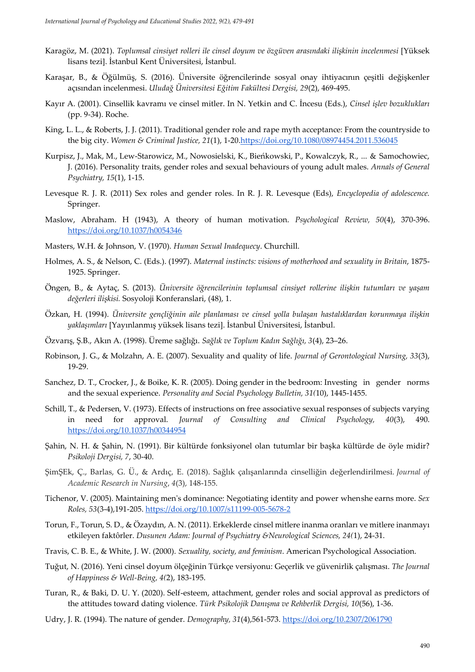- Karagöz, M. (2021). *Toplumsal cinsiyet rolleri ile cinsel doyum ve özgüven arasındaki ilişkinin incelenmesi* [Yüksek lisans tezi]. İstanbul Kent Üniversitesi, İstanbul.
- Karaşar, B., & Öğülmüş, S. (2016). Üniversite öğrencilerinde sosyal onay ihtiyacının çeşitli değişkenler açısından incelenmesi. *Uludağ Üniversitesi Eğitim Fakültesi Dergisi, 29*(2), 469-495.
- Kayır A. (2001). Cinsellik kavramı ve cinsel mitler. In N. Yetkin and C. İncesu (Eds.), *Cinsel işlev bozuklukları* (pp. 9-34). Roche.
- King, L. L., & Roberts, J. J. (2011). Traditional gender role and rape myth acceptance: From the countryside to the big city. *Women & Criminal Justice, 21*(1), 1-2[0.https://doi.org/10.1080/08974454.2011.536045](https://doi.org/10.1080/08974454.2011.536045)
- Kurpisz, J., Mak, M., Lew-Starowicz, M., Nowosielski, K., Bieńkowski, P., Kowalczyk, R., ... & Samochowiec, J. (2016). Personality traits, gender roles and sexual behaviours of young adult males. *Annals of General Psychiatry, 15*(1), 1-15.
- Levesque R. J. R. (2011) Sex roles and gender roles. In R. J. R. Levesque (Eds), *Encyclopedia of adolescence.* Springer.
- Maslow, Abraham. H (1943), A theory of human motivation. *Psychological Review, 50*(4), 370-396. <https://doi.org/10.1037/h0054346>
- Masters, W.H. & Johnson, V. (1970). *Human Sexual Inadequecy*. Churchill.
- Holmes, A. S., & Nelson, C. (Eds.). (1997). *Maternal instincts: visions of motherhood and sexuality in Britain*, 1875- 1925. Springer.
- Öngen, B., & Aytaç, S. (2013). *Üniversite öğrencilerinin toplumsal cinsiyet rollerine ilişkin tutumları ve yaşam değerleri ilişkisi.* Sosyoloji Konferanslari, (48), 1.
- Özkan, H. (1994). *Üniversite gençliğinin aile planlaması ve cinsel yolla bulaşan hastalıklardan korunmaya ilişkin yaklaşımları* [Yayınlanmış yüksek lisans tezi]. İstanbul Üniversitesi, İstanbul.
- Özvarış, Ş.B., Akın A. (1998). Üreme sağlığı. *Sağlık ve Toplum Kadın Sağlığı, 3*(4), 23–26.
- Robinson, J. G., & Molzahn, A. E. (2007). Sexuality and quality of life. *Journal of Gerontological Nursing, 33*(3), 19-29.
- Sanchez, D. T., Crocker, J., & Boike, K. R. (2005). Doing gender in the bedroom: Investing in gender norms and the sexual experience. *Personality and Social Psychology Bulletin, 31(*10), 1445-1455.
- Schill, T., & Pedersen, V. (1973). Effects of instructions on free associative sexual responses of subjects varying in need for approval. *Journal of Consulting and Clinical Psychology, 40*(3), 490. <https://doi.org/10.1037/h00344954>
- Şahin, N. H. & Şahin, N. (1991). Bir kültürde fonksiyonel olan tutumlar bir başka kültürde de öyle midir? *Psikoloji Dergisi, 7*, 30-40.
- ŞimŞEk, Ç., Barlas, G. Ü., & Ardıç, E. (2018). Sağlık çalışanlarında cinselliğin değerlendirilmesi. *Journal of Academic Research in Nursing*, *4*(3), 148-155.
- Tichenor, V. (2005). Maintaining men's dominance: Negotiating identity and power whenshe earns more. *Sex Roles, 53*(3-4),191-205. https://doi.org/10.1007/s11199-005-5678-2
- Torun, F., Torun, S. D., & Özaydın, A. N. (2011). Erkeklerde cinsel mitlere inanma oranları ve mitlere inanmayı etkileyen faktôrler. *Dusunen Adam: Journal of Psychiatry &Neurological Sciences, 24(*1), 24-31.
- Travis, C. B. E., & White, J. W. (2000). *Sexuality, society, and feminism*. American Psychological Association.
- Tuğut, N. (2016). Yeni cinsel doyum ölçeğinin Türkçe versiyonu: Geçerlik ve güvenirlik çalışması. *The Journal of Happiness & Well-Being, 4(*2), 183-195.
- Turan, R., & Baki, D. U. Y. (2020). Self-esteem, attachment, gender roles and social approval as predictors of the attitudes toward dating violence. *Türk Psikolojik Danışma ve Rehberlik Dergisi, 10*(56), 1-36.
- Udry, J. R. (1994). The nature of gender. *Demography, 31*(4),561-573. https://doi.org/10.2307/2061790